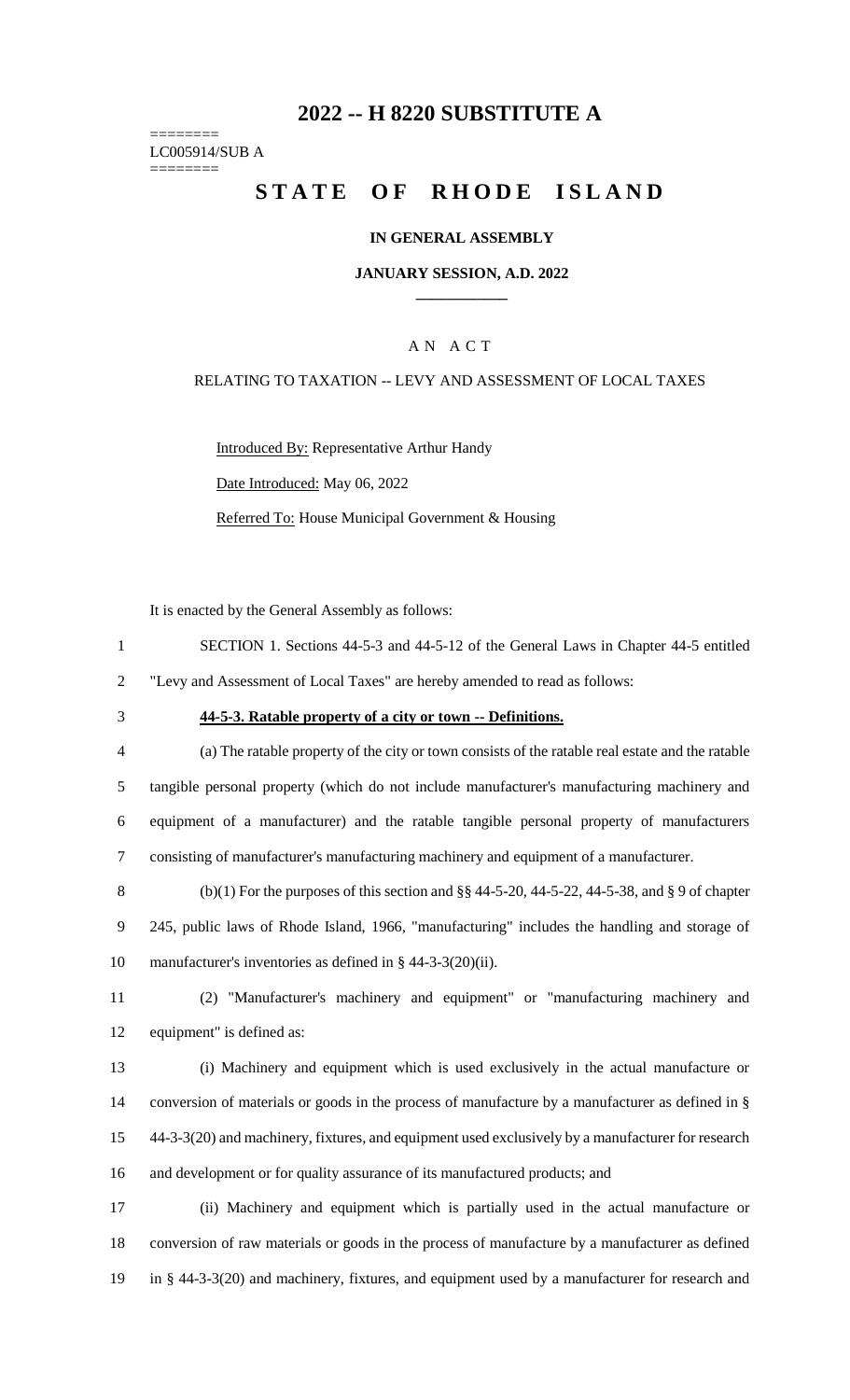# **2022 -- H 8220 SUBSTITUTE A**

======== LC005914/SUB A ========

# **STATE OF RHODE ISLAND**

#### **IN GENERAL ASSEMBLY**

#### **JANUARY SESSION, A.D. 2022 \_\_\_\_\_\_\_\_\_\_\_\_**

#### A N A C T

## RELATING TO TAXATION -- LEVY AND ASSESSMENT OF LOCAL TAXES

Introduced By: Representative Arthur Handy Date Introduced: May 06, 2022 Referred To: House Municipal Government & Housing

It is enacted by the General Assembly as follows:

- 1 SECTION 1. Sections 44-5-3 and 44-5-12 of the General Laws in Chapter 44-5 entitled 2 "Levy and Assessment of Local Taxes" are hereby amended to read as follows:
- 

#### 3 **44-5-3. Ratable property of a city or town -- Definitions.**

 (a) The ratable property of the city or town consists of the ratable real estate and the ratable tangible personal property (which do not include manufacturer's manufacturing machinery and equipment of a manufacturer) and the ratable tangible personal property of manufacturers consisting of manufacturer's manufacturing machinery and equipment of a manufacturer.

8 (b)(1) For the purposes of this section and  $\S$ § 44-5-20, 44-5-22, 44-5-38, and § 9 of chapter 9 245, public laws of Rhode Island, 1966, "manufacturing" includes the handling and storage of 10 manufacturer's inventories as defined in § 44-3-3(20)(ii).

11 (2) "Manufacturer's machinery and equipment" or "manufacturing machinery and 12 equipment" is defined as:

 (i) Machinery and equipment which is used exclusively in the actual manufacture or conversion of materials or goods in the process of manufacture by a manufacturer as defined in § 44-3-3(20) and machinery, fixtures, and equipment used exclusively by a manufacturer for research and development or for quality assurance of its manufactured products; and

17 (ii) Machinery and equipment which is partially used in the actual manufacture or 18 conversion of raw materials or goods in the process of manufacture by a manufacturer as defined 19 in § 44-3-3(20) and machinery, fixtures, and equipment used by a manufacturer for research and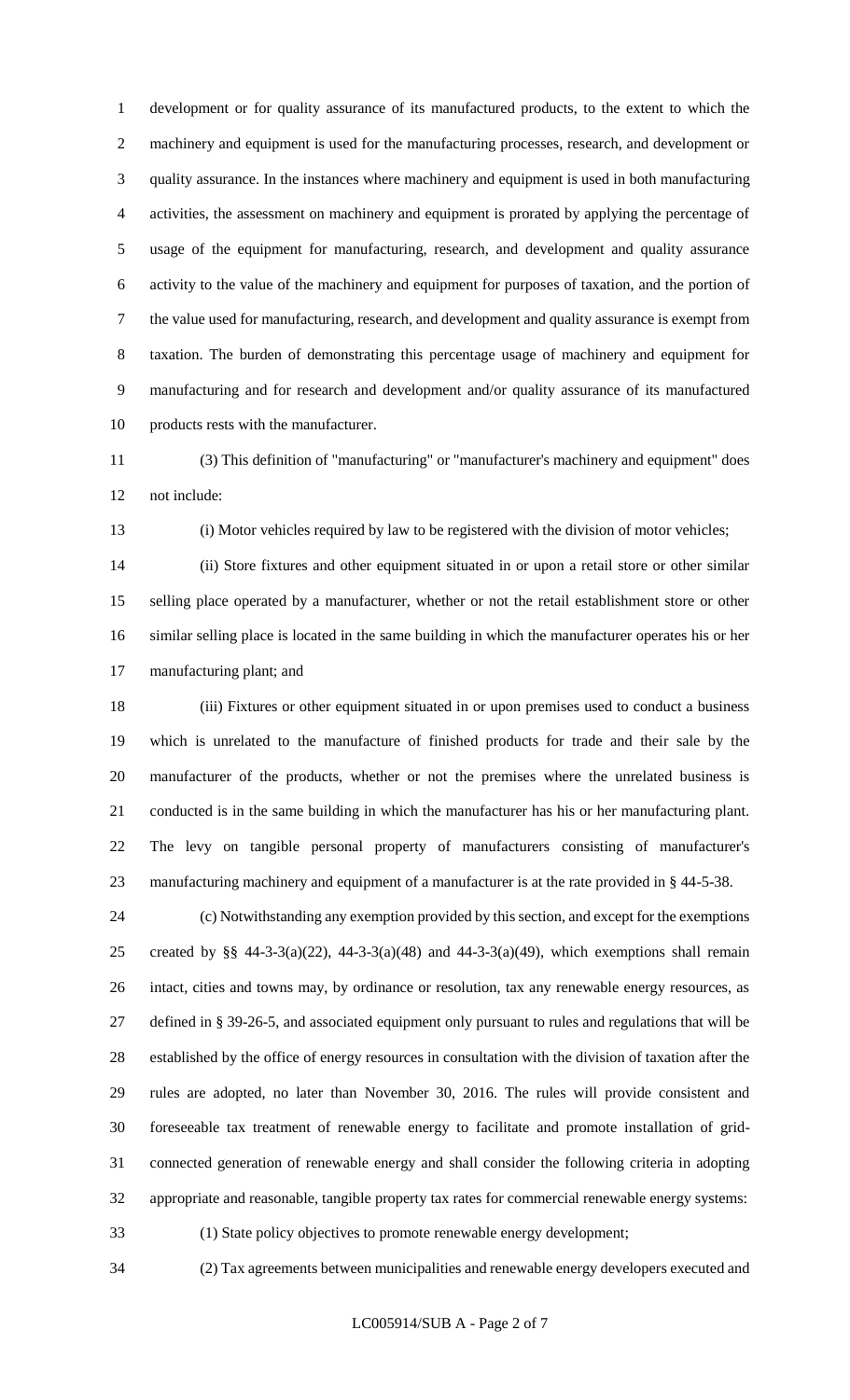development or for quality assurance of its manufactured products, to the extent to which the machinery and equipment is used for the manufacturing processes, research, and development or quality assurance. In the instances where machinery and equipment is used in both manufacturing activities, the assessment on machinery and equipment is prorated by applying the percentage of usage of the equipment for manufacturing, research, and development and quality assurance activity to the value of the machinery and equipment for purposes of taxation, and the portion of the value used for manufacturing, research, and development and quality assurance is exempt from taxation. The burden of demonstrating this percentage usage of machinery and equipment for manufacturing and for research and development and/or quality assurance of its manufactured products rests with the manufacturer.

 (3) This definition of "manufacturing" or "manufacturer's machinery and equipment" does not include:

(i) Motor vehicles required by law to be registered with the division of motor vehicles;

 (ii) Store fixtures and other equipment situated in or upon a retail store or other similar selling place operated by a manufacturer, whether or not the retail establishment store or other similar selling place is located in the same building in which the manufacturer operates his or her manufacturing plant; and

 (iii) Fixtures or other equipment situated in or upon premises used to conduct a business which is unrelated to the manufacture of finished products for trade and their sale by the manufacturer of the products, whether or not the premises where the unrelated business is conducted is in the same building in which the manufacturer has his or her manufacturing plant. The levy on tangible personal property of manufacturers consisting of manufacturer's manufacturing machinery and equipment of a manufacturer is at the rate provided in § 44-5-38.

 (c) Notwithstanding any exemption provided by this section, and except for the exemptions 25 created by §§ 44-3-3(a)(22), 44-3-3(a)(48) and 44-3-3(a)(49), which exemptions shall remain intact, cities and towns may, by ordinance or resolution, tax any renewable energy resources, as defined in § 39-26-5, and associated equipment only pursuant to rules and regulations that will be established by the office of energy resources in consultation with the division of taxation after the rules are adopted, no later than November 30, 2016. The rules will provide consistent and foreseeable tax treatment of renewable energy to facilitate and promote installation of grid- connected generation of renewable energy and shall consider the following criteria in adopting appropriate and reasonable, tangible property tax rates for commercial renewable energy systems: (1) State policy objectives to promote renewable energy development;

(2) Tax agreements between municipalities and renewable energy developers executed and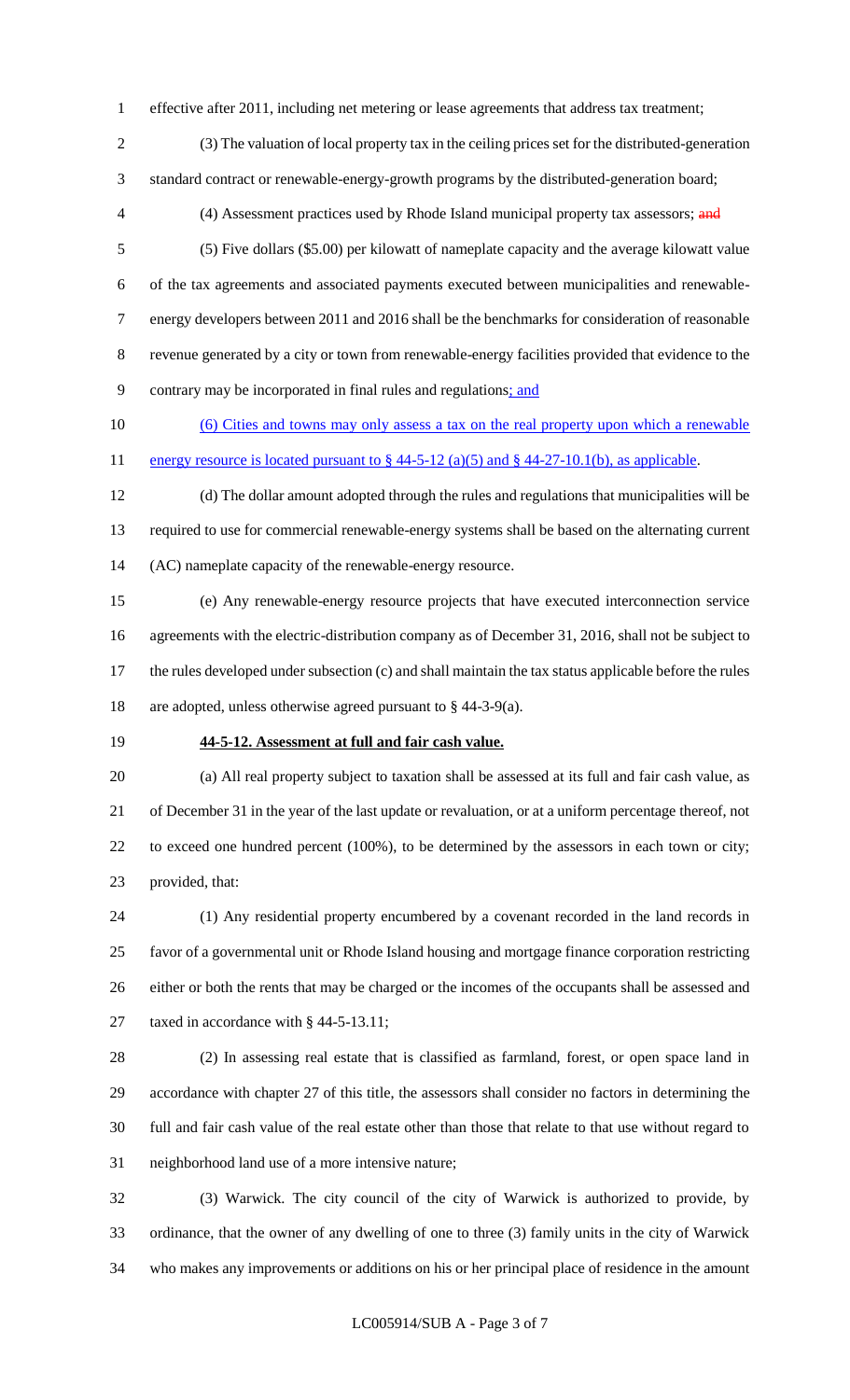effective after 2011, including net metering or lease agreements that address tax treatment;

 (3) The valuation of local property tax in the ceiling prices set for the distributed-generation standard contract or renewable-energy-growth programs by the distributed-generation board;

4 (4) Assessment practices used by Rhode Island municipal property tax assessors; and

- (5) Five dollars (\$5.00) per kilowatt of nameplate capacity and the average kilowatt value of the tax agreements and associated payments executed between municipalities and renewable- energy developers between 2011 and 2016 shall be the benchmarks for consideration of reasonable revenue generated by a city or town from renewable-energy facilities provided that evidence to the contrary may be incorporated in final rules and regulations; and
- (6) Cities and towns may only assess a tax on the real property upon which a renewable 11 energy resource is located pursuant to  $\S$  44-5-12 (a)(5) and  $\S$  44-27-10.1(b), as applicable.
- (d) The dollar amount adopted through the rules and regulations that municipalities will be required to use for commercial renewable-energy systems shall be based on the alternating current (AC) nameplate capacity of the renewable-energy resource.
- (e) Any renewable-energy resource projects that have executed interconnection service agreements with the electric-distribution company as of December 31, 2016, shall not be subject to the rules developed under subsection (c) and shall maintain the tax status applicable before the rules are adopted, unless otherwise agreed pursuant to § 44-3-9(a).
- 

#### **44-5-12. Assessment at full and fair cash value.**

 (a) All real property subject to taxation shall be assessed at its full and fair cash value, as of December 31 in the year of the last update or revaluation, or at a uniform percentage thereof, not to exceed one hundred percent (100%), to be determined by the assessors in each town or city; provided, that:

 (1) Any residential property encumbered by a covenant recorded in the land records in favor of a governmental unit or Rhode Island housing and mortgage finance corporation restricting either or both the rents that may be charged or the incomes of the occupants shall be assessed and 27 taxed in accordance with § 44-5-13.11;

 (2) In assessing real estate that is classified as farmland, forest, or open space land in accordance with chapter 27 of this title, the assessors shall consider no factors in determining the full and fair cash value of the real estate other than those that relate to that use without regard to neighborhood land use of a more intensive nature;

 (3) Warwick. The city council of the city of Warwick is authorized to provide, by ordinance, that the owner of any dwelling of one to three (3) family units in the city of Warwick who makes any improvements or additions on his or her principal place of residence in the amount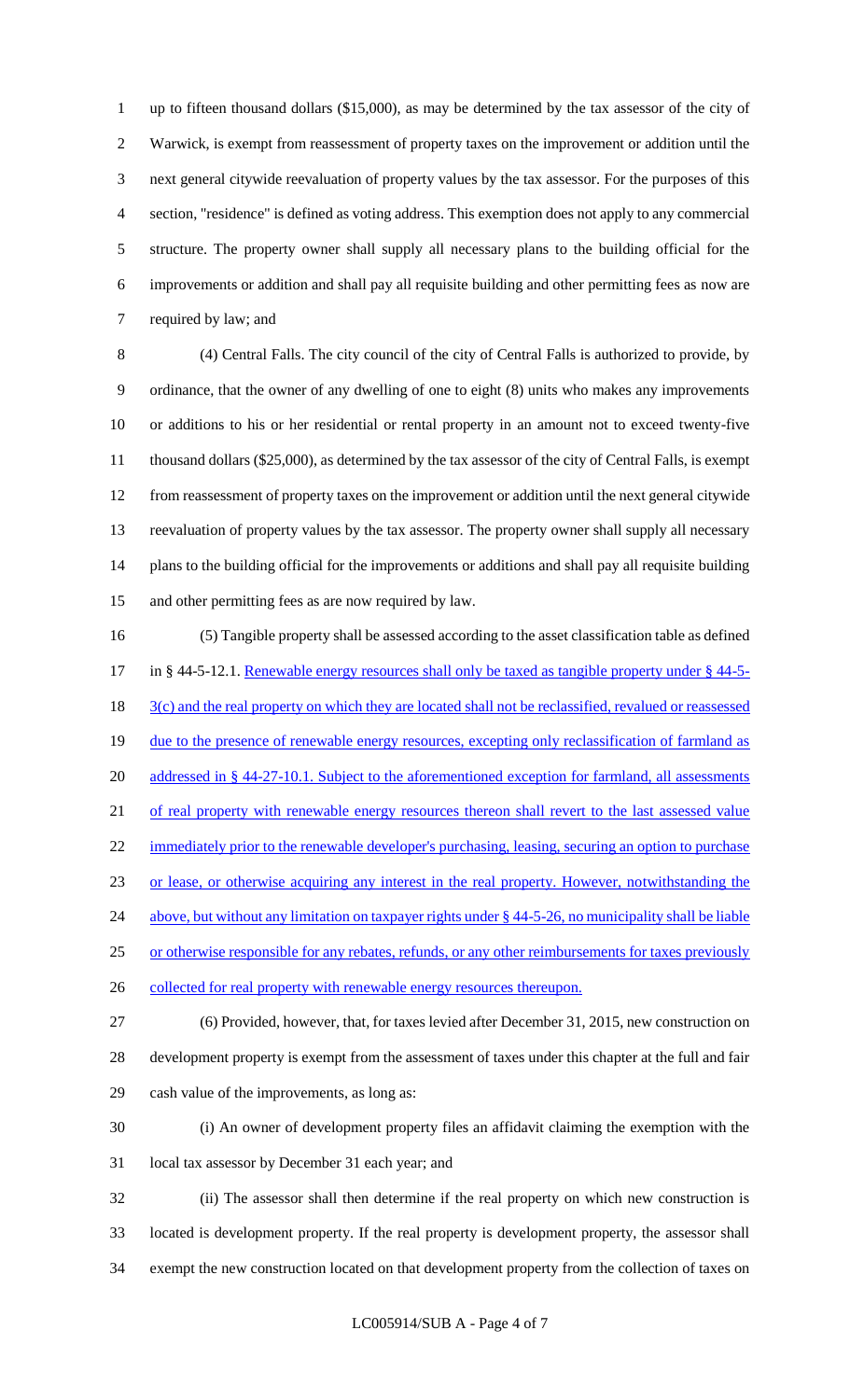up to fifteen thousand dollars (\$15,000), as may be determined by the tax assessor of the city of Warwick, is exempt from reassessment of property taxes on the improvement or addition until the next general citywide reevaluation of property values by the tax assessor. For the purposes of this section, "residence" is defined as voting address. This exemption does not apply to any commercial structure. The property owner shall supply all necessary plans to the building official for the improvements or addition and shall pay all requisite building and other permitting fees as now are required by law; and

 (4) Central Falls. The city council of the city of Central Falls is authorized to provide, by ordinance, that the owner of any dwelling of one to eight (8) units who makes any improvements or additions to his or her residential or rental property in an amount not to exceed twenty-five thousand dollars (\$25,000), as determined by the tax assessor of the city of Central Falls, is exempt from reassessment of property taxes on the improvement or addition until the next general citywide reevaluation of property values by the tax assessor. The property owner shall supply all necessary plans to the building official for the improvements or additions and shall pay all requisite building and other permitting fees as are now required by law.

 (5) Tangible property shall be assessed according to the asset classification table as defined 17 in § 44-5-12.1. Renewable energy resources shall only be taxed as tangible property under § 44-5-18 3(c) and the real property on which they are located shall not be reclassified, revalued or reassessed 19 due to the presence of renewable energy resources, excepting only reclassification of farmland as 20 addressed in § 44-27-10.1. Subject to the aforementioned exception for farmland, all assessments 21 of real property with renewable energy resources thereon shall revert to the last assessed value 22 immediately prior to the renewable developer's purchasing, leasing, securing an option to purchase or lease, or otherwise acquiring any interest in the real property. However, notwithstanding the above, but without any limitation on taxpayer rights under § 44-5-26, no municipality shall be liable 25 or otherwise responsible for any rebates, refunds, or any other reimbursements for taxes previously 26 collected for real property with renewable energy resources thereupon. (6) Provided, however, that, for taxes levied after December 31, 2015, new construction on

 development property is exempt from the assessment of taxes under this chapter at the full and fair cash value of the improvements, as long as:

- (i) An owner of development property files an affidavit claiming the exemption with the
- local tax assessor by December 31 each year; and

 (ii) The assessor shall then determine if the real property on which new construction is located is development property. If the real property is development property, the assessor shall exempt the new construction located on that development property from the collection of taxes on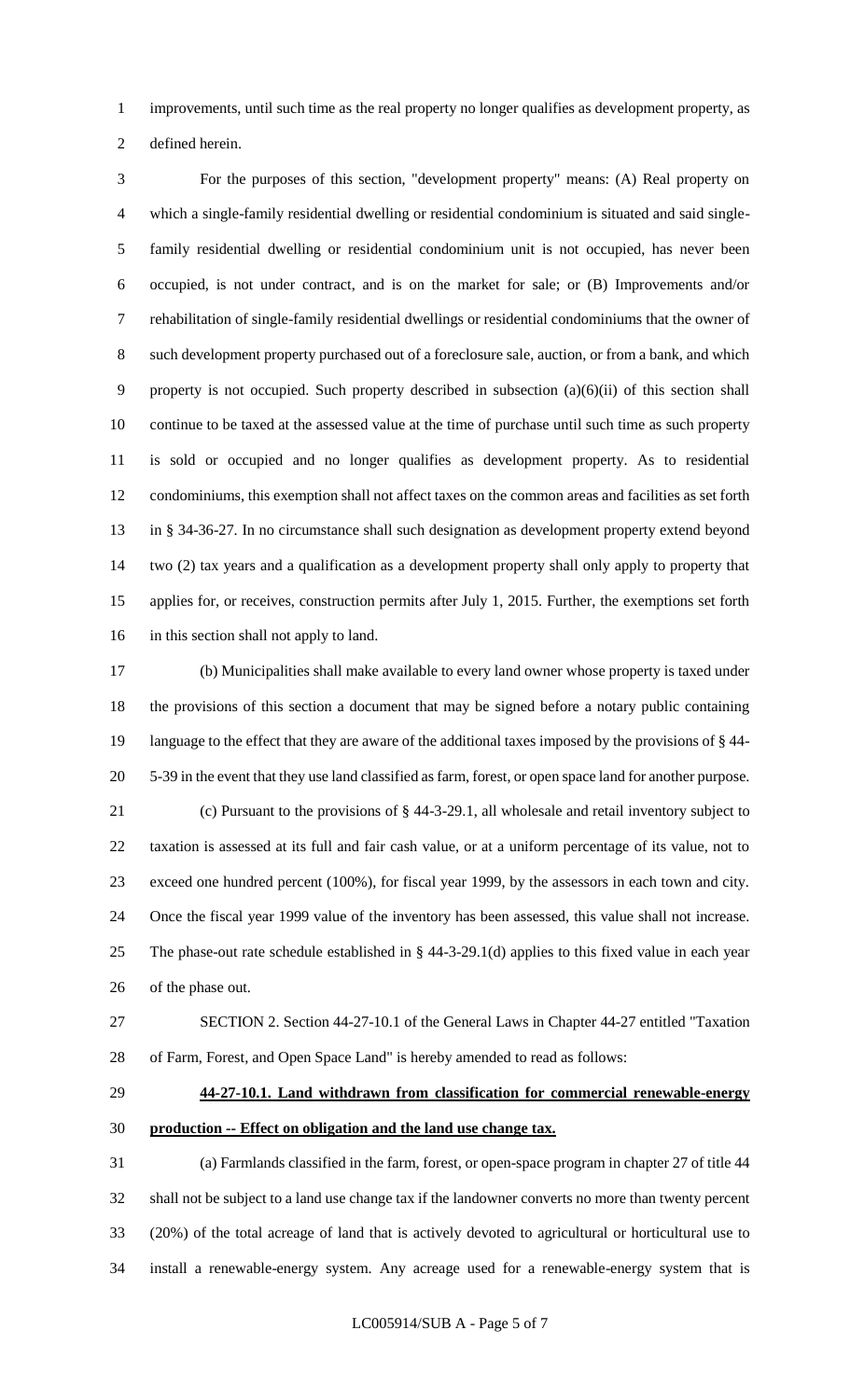improvements, until such time as the real property no longer qualifies as development property, as

defined herein.

 For the purposes of this section, "development property" means: (A) Real property on which a single-family residential dwelling or residential condominium is situated and said single- family residential dwelling or residential condominium unit is not occupied, has never been occupied, is not under contract, and is on the market for sale; or (B) Improvements and/or rehabilitation of single-family residential dwellings or residential condominiums that the owner of such development property purchased out of a foreclosure sale, auction, or from a bank, and which property is not occupied. Such property described in subsection (a)(6)(ii) of this section shall continue to be taxed at the assessed value at the time of purchase until such time as such property is sold or occupied and no longer qualifies as development property. As to residential condominiums, this exemption shall not affect taxes on the common areas and facilities as set forth in § 34-36-27. In no circumstance shall such designation as development property extend beyond two (2) tax years and a qualification as a development property shall only apply to property that applies for, or receives, construction permits after July 1, 2015. Further, the exemptions set forth in this section shall not apply to land.

 (b) Municipalities shall make available to every land owner whose property is taxed under the provisions of this section a document that may be signed before a notary public containing language to the effect that they are aware of the additional taxes imposed by the provisions of § 44- 5-39 in the event that they use land classified as farm, forest, or open space land for another purpose. (c) Pursuant to the provisions of § 44-3-29.1, all wholesale and retail inventory subject to taxation is assessed at its full and fair cash value, or at a uniform percentage of its value, not to exceed one hundred percent (100%), for fiscal year 1999, by the assessors in each town and city. Once the fiscal year 1999 value of the inventory has been assessed, this value shall not increase. The phase-out rate schedule established in § 44-3-29.1(d) applies to this fixed value in each year of the phase out.

- SECTION 2. Section 44-27-10.1 of the General Laws in Chapter 44-27 entitled "Taxation of Farm, Forest, and Open Space Land" is hereby amended to read as follows:
	-

# **44-27-10.1. Land withdrawn from classification for commercial renewable-energy production -- Effect on obligation and the land use change tax.**

 (a) Farmlands classified in the farm, forest, or open-space program in chapter 27 of title 44 shall not be subject to a land use change tax if the landowner converts no more than twenty percent (20%) of the total acreage of land that is actively devoted to agricultural or horticultural use to install a renewable-energy system. Any acreage used for a renewable-energy system that is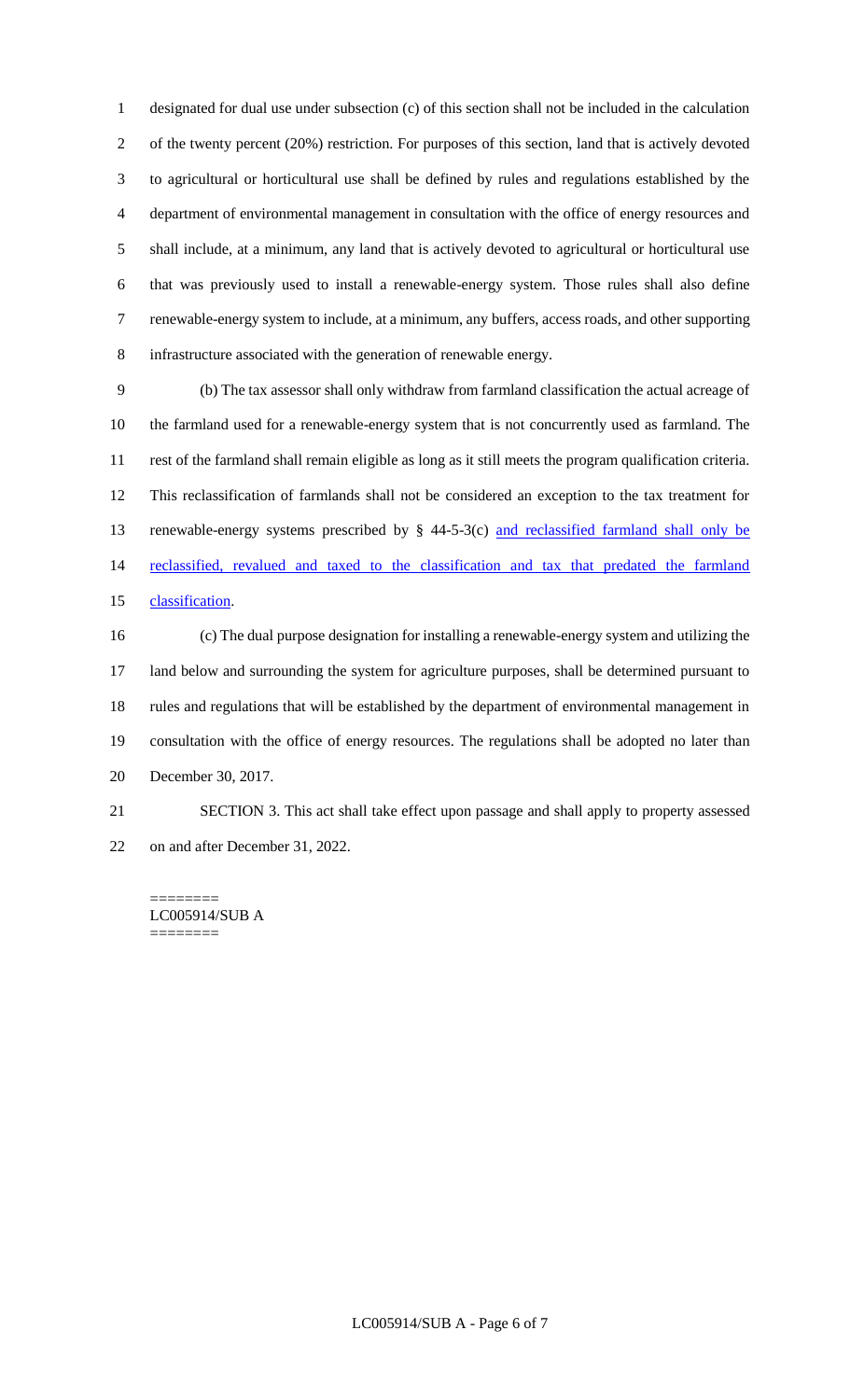designated for dual use under subsection (c) of this section shall not be included in the calculation of the twenty percent (20%) restriction. For purposes of this section, land that is actively devoted to agricultural or horticultural use shall be defined by rules and regulations established by the department of environmental management in consultation with the office of energy resources and shall include, at a minimum, any land that is actively devoted to agricultural or horticultural use that was previously used to install a renewable-energy system. Those rules shall also define renewable-energy system to include, at a minimum, any buffers, access roads, and other supporting infrastructure associated with the generation of renewable energy.

 (b) The tax assessor shall only withdraw from farmland classification the actual acreage of the farmland used for a renewable-energy system that is not concurrently used as farmland. The rest of the farmland shall remain eligible as long as it still meets the program qualification criteria. This reclassification of farmlands shall not be considered an exception to the tax treatment for 13 renewable-energy systems prescribed by § 44-5-3(c) and reclassified farmland shall only be 14 reclassified, revalued and taxed to the classification and tax that predated the farmland classification.

 (c) The dual purpose designation for installing a renewable-energy system and utilizing the land below and surrounding the system for agriculture purposes, shall be determined pursuant to rules and regulations that will be established by the department of environmental management in consultation with the office of energy resources. The regulations shall be adopted no later than December 30, 2017.

 SECTION 3. This act shall take effect upon passage and shall apply to property assessed on and after December 31, 2022.

======== LC005914/SUB A ========